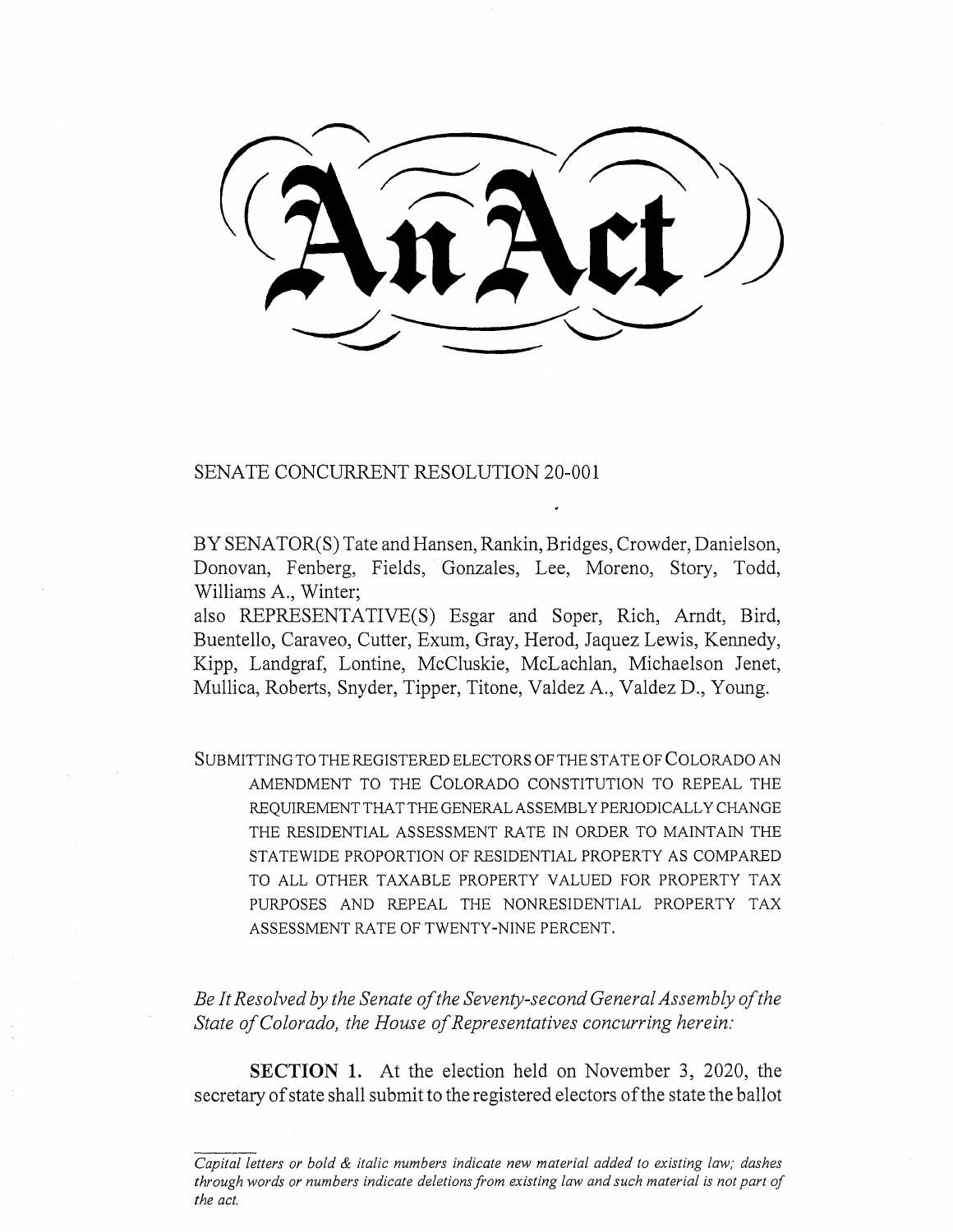SENATE CONCURRENT RESOLUTION 20-001

BY SENATOR(S) Tate and Hansen, Rankin, Bridges, Crowder, Danielson, Donovan, Fenberg, Fields, Gonzales, Lee, Moreno, Story, Todd, Williams A., Winter;

also REPRESENTATIVE(S) Esgar and Soper, Rich, Arndt, Bird, Buentello, Caraveo, Cutter, Exum, Gray, Herod, Jaquez Lewis, Kennedy, Kipp, Landgraf, Lontine, McCluskie, McLachlan, Michaelson Jenet, Mullica, Roberts, Snyder, Tipper, Titone, Valdez A., Valdez D., Young.

SUBMITTING TO THE REGISTERED ELECTORS OF THE STATE OF COLORADO AN AMENDMENT TO THE COLORADO CONSTITUTION TO REPEAL THE REQUIREMENT THAT THE GENERAL ASSEMBLY PERIODICALLY CHANGE THE RESIDENTIAL ASSESSMENT RATE IN ORDER TO MAINTAIN THE STATEWIDE PROPORTION OF RESIDENTIAL PROPERTY AS COMPARED TO ALL OTHER TAXABLE PROPERTY VALUED FOR PROPERTY TAX PURPOSES AND REPEAL THE NONRESIDENTIAL PROPERTY TAX ASSESSMENT RATE OF TWENTY-NINE PERCENT.

*Be It Resolved by the Senate of the Seventy-second General Assembly of the State of Colorado, the House of Representatives concurring herein:* 

**SECTION 1.** At the election held on November 3, 2020, the secretary of state shall submit to the registered electors of the state the ballot

*Capital letters or bold & italic numbers indicate new material added to existing law; dashes through words or numbers indicate deletions from existing law and such material is not part of the act.*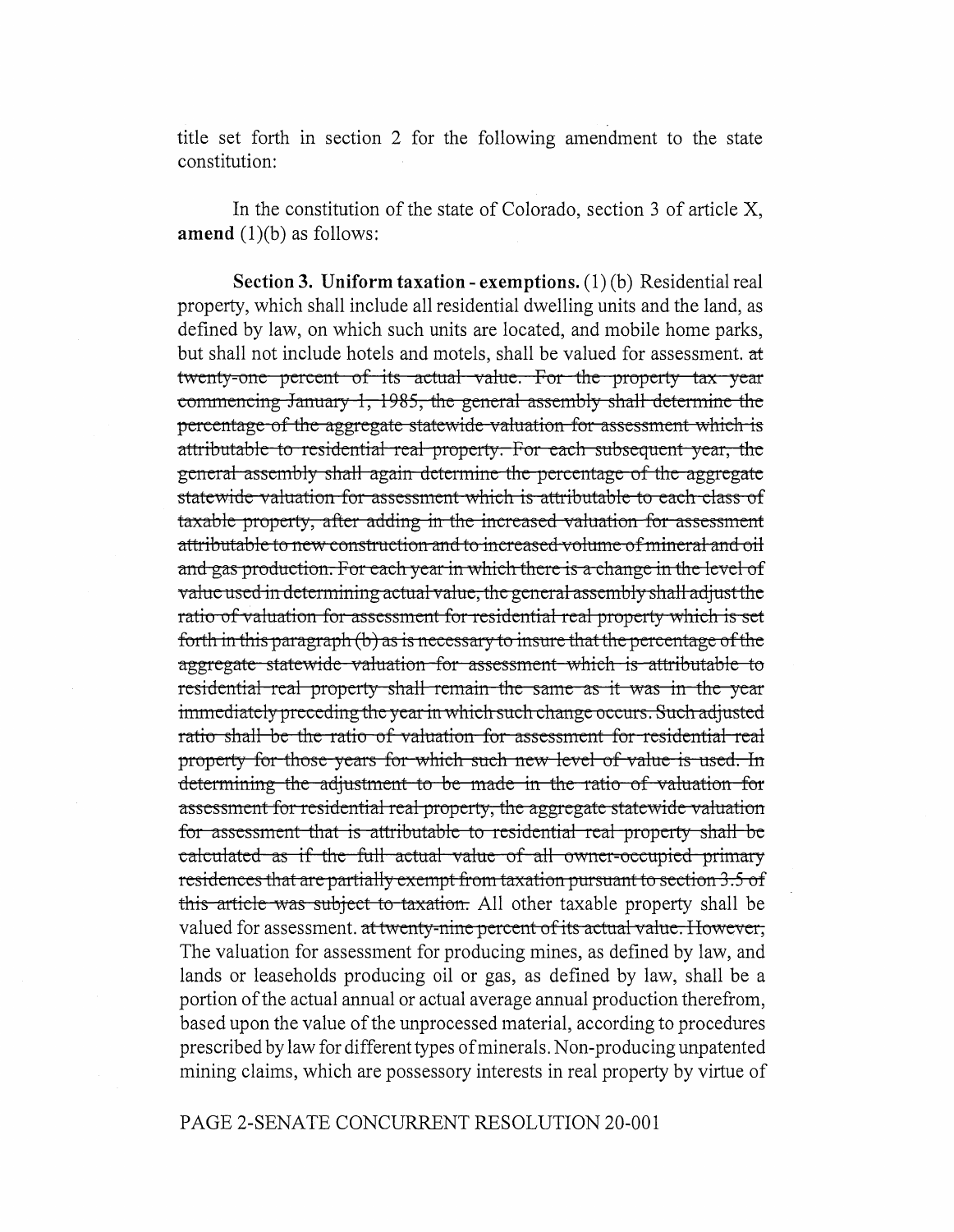title set forth in section 2 for the following amendment to the state constitution:

In the constitution of the state of Colorado, section 3 of article X, **amend**  $(1)(b)$  as follows:

**Section 3. Uniform taxation-exemptions.** (1) (b) Residential real property, which shall include all residential dwelling units and the land, as defined by law, on which such units are located, and mobile home parks, but shall not include hotels and motels, shall be valued for assessment. at twenty-one percent of its actual value. For the property tax year commencing January 1, 1985, the general assembly shall determine the percentage of the aggregate statewide valuation for assessment which is attributable to residential real property. For each subsequent year, the general assembly shall again determine the percentage of the aggregate statewide valuation for assessment which is attributable to each class of taxable property, after adding in the increased valuation for assessment attributable to new construction and to increased volume of mineral and oil and gas production. For each year in which there is a change in the level of value used in determining actual value, the general assembly shall adjust the ratio of valuation for assessment for residential real property which is set forth in this paragraph (b) as is necessary to insure that the percentage of the aggregate statewide valuation for assessment which is attributable to residential real property shall remain the same as it was in the year immediately preceding the year in which such change occurs. Such adjusted ratio shall be the ratio of valuation for assessment for residential real property for those years for which such new level of value is used. In determining the adjustment to be made in the ratio of valuation for assessment for residential real property, the aggregate statewide valuation for assessment that is attributable to residential real property shall be calcnlated as if the full actnal valne of all owner-occupied primary residences that are partially exempt from taxation pursuant to section  $3.5$  of this article was subject to taxation. All other taxable property shall be valued for assessment. at twenty-nine percent of its actual value. However, The valuation for assessment for producing mines, as defined by law, and lands or leaseholds producing oil or gas, as defined by law, shall be a portion of the actual annual or actual average annual production therefrom, based upon the value of the unprocessed material, according to procedures prescribed by law for different types of minerals. Non-producing unpatented mining claims, which are possessory interests in real property by virtue of

PAGE 2-SENATE CONCURRENT RESOLUTION 20-001